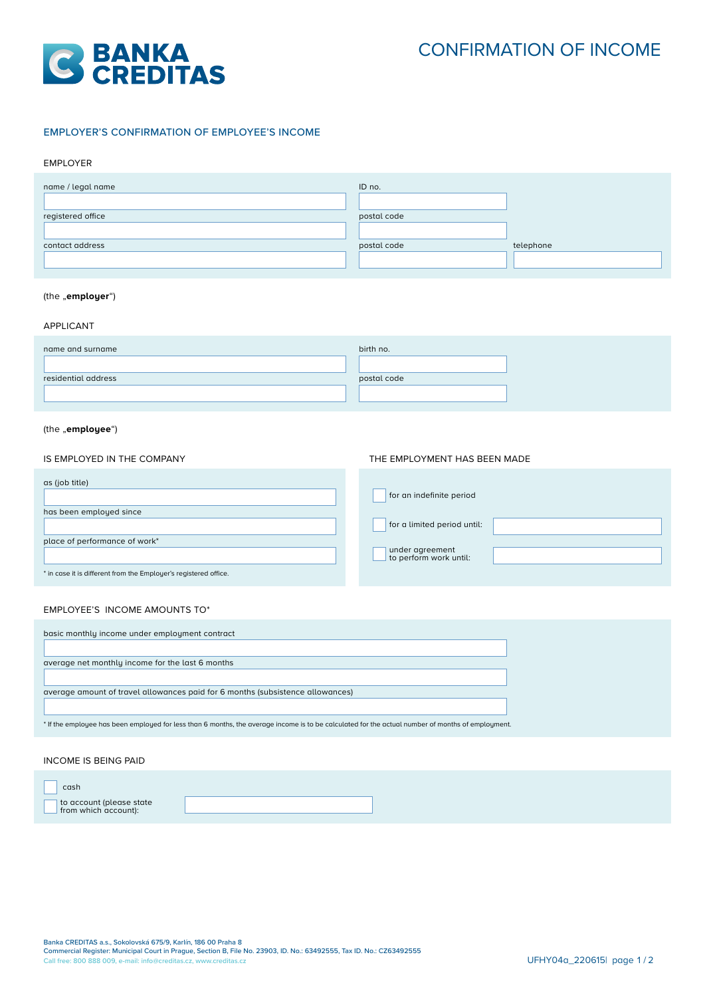

# EMPLOYER'S CONFIRMATION OF EMPLOYEE'S INCOME

### EMPLOYER

| name / legal name   | ID no.      |           |
|---------------------|-------------|-----------|
| registered office   | postal code |           |
| contact address     | postal code | telephone |
|                     |             |           |
| (the "employer")    |             |           |
| <b>APPLICANT</b>    |             |           |
| name and surname    | birth no.   |           |
| residential address | postal code |           |
|                     |             |           |
| (the "employee")    |             |           |

## IS EMPLOYED IN THE COMPANY

| as (job title)                                                   | for an indefinite period                  |
|------------------------------------------------------------------|-------------------------------------------|
| has been employed since                                          |                                           |
|                                                                  | for a limited period until:               |
| place of performance of work*                                    |                                           |
|                                                                  | under agreement<br>to perform work until: |
| * in case it is different from the Employer's registered office. |                                           |

THE EMPLOYMENT HAS BEEN MADE

## EMPLOYEE'S INCOME AMOUNTS TO\*

| basic monthly income under employment contract                                                                                                    |
|---------------------------------------------------------------------------------------------------------------------------------------------------|
|                                                                                                                                                   |
| average net monthly income for the last 6 months                                                                                                  |
|                                                                                                                                                   |
| average amount of travel allowances paid for 6 months (subsistence allowances)                                                                    |
|                                                                                                                                                   |
| * If the employee has been employed for less than 6 months, the average income is to be calculated for the actual number of months of employment. |

#### INCOME IS BEING PAID

| cash                                             |  |  |
|--------------------------------------------------|--|--|
| to account (please state<br>from which account): |  |  |